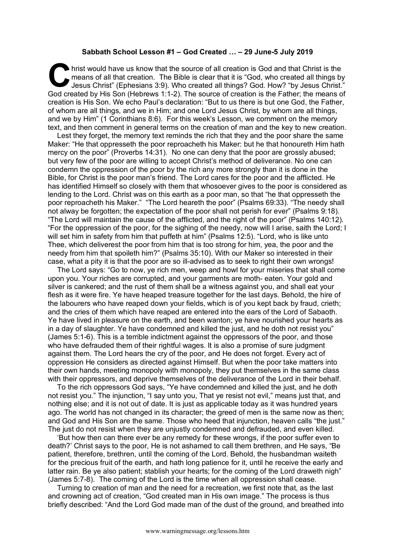## **Sabbath School Lesson #1 – God Created … – 29 June-5 July 2019**

hrist would have us know that the source of all creation is God and that Christ is the means of all that creation. The Bible is clear that it is "God, who created all things by Jesus Christ" (Ephesians 3:9). Who created all things? God. How? "by Jesus Christ." God created by His Son (Hebrews 1:1-2). The source of creation is the Father; the means of creation is His Son. We echo Paul's declaration: "But to us there is but one God, the Father, of whom are all things, and we in Him; and one Lord Jesus Christ, by whom are all things, and we by Him" (1 Corinthians 8:6). For this week's Lesson, we comment on the memory text, and then comment in general terms on the creation of man and the key to new creation. C hris

Lest they forget, the memory text reminds the rich that they and the poor share the same Maker: "He that oppresseth the poor reproacheth his Maker: but he that honoureth Him hath mercy on the poor" (Proverbs 14:31). No one can deny that the poor are grossly abused; but very few of the poor are willing to accept Christ's method of deliverance. No one can condemn the oppression of the poor by the rich any more strongly than it is done in the Bible, for Christ is the poor man's friend. The Lord cares for the poor and the afflicted. He has identified Himself so closely with them that whosoever gives to the poor is considered as lending to the Lord. Christ was on this earth as a poor man, so that "he that oppresseth the poor reproacheth his Maker." "The Lord heareth the poor" (Psalms 69:33). "The needy shall not alway be forgotten; the expectation of the poor shall not perish for ever" (Psalms 9:18). "The Lord will maintain the cause of the afflicted, and the right of the poor" (Psalms 140:12). "For the oppression of the poor, for the sighing of the needy, now will I arise, saith the Lord; I will set him in safety from him that puffeth at him" (Psalms 12:5). "Lord, who is like unto Thee, which deliverest the poor from him that is too strong for him, yea, the poor and the needy from him that spoileth him?" (Psalms 35:10). With our Maker so interested in their case, what a pity it is that the poor are so ill-advised as to seek to right their own wrongs!

The Lord says: "Go to now, ye rich men, weep and howl for your miseries that shall come upon you. Your riches are corrupted, and your garments are moth- eaten. Your gold and silver is cankered; and the rust of them shall be a witness against you, and shall eat your flesh as it were fire. Ye have heaped treasure together for the last days. Behold, the hire of the labourers who have reaped down your fields, which is of you kept back by fraud, crieth; and the cries of them which have reaped are entered into the ears of the Lord of Sabaoth. Ye have lived in pleasure on the earth, and been wanton; ye have nourished your hearts as in a day of slaughter. Ye have condemned and killed the just, and he doth not resist you" (James 5:1-6). This is a terrible indictment against the oppressors of the poor, and those who have defrauded them of their rightful wages. It is also a promise of sure judgment against them. The Lord hears the cry of the poor, and He does not forget. Every act of oppression He considers as directed against Himself. But when the poor take matters into their own hands, meeting monopoly with monopoly, they put themselves in the same class with their oppressors, and deprive themselves of the deliverance of the Lord in their behalf.

To the rich oppressors God says, "Ye have condemned and killed the just, and he doth not resist you." The injunction, "I say unto you, That ye resist not evil," means just that, and nothing else; and it is not out of date. It is just as applicable today as it was hundred years ago. The world has not changed in its character; the greed of men is the same now as then; and God and His Son are the same. Those who heed that injunction, heaven calls "the just." The just do not resist when they are unjustly condemned and defrauded, and even killed.

'But how then can there ever be any remedy for these wrongs, if the poor suffer even to death?' Christ says to the poor, He is not ashamed to call them brethren, and He says, "Be patient, therefore, brethren, until the coming of the Lord. Behold, the husbandman waiteth for the precious fruit of the earth, and hath long patience for it, until he receive the early and latter rain. Be ye also patient; stablish your hearts; for the coming of the Lord draweth nigh" (James 5:7-8). The coming of the Lord is the time when all oppression shall cease.

Turning to creation of man and the need for a recreation, we first note that, as the last and crowning act of creation, "God created man in His own image." The process is thus briefly described: "And the Lord God made man of the dust of the ground, and breathed into